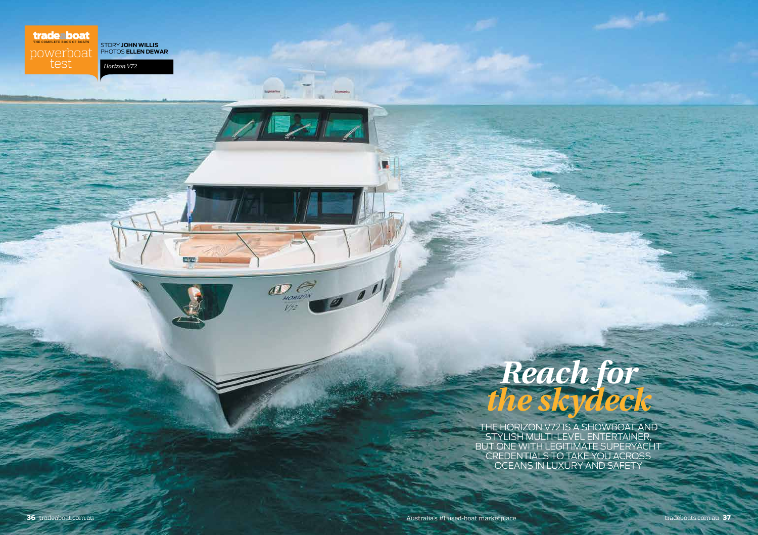# THE COMPLETE BOOK OF BOATS

test

story **JOHN WILLIS** powerboat



# *Reach for the skydeck*

THE HORIZON V72 IS A SHOWBOAT AND STYLISH MULTI-LEVEL ENTERTAINER, BUT ONE WITH LEGITIMATE SUPERYACHT CREDENTIALS TO TAKE YOU A oceans IN LUXURY AND SAFETY

П

 $\frac{1}{\sum_{\substack{n\text{ otherwise }\\ \forall i}}$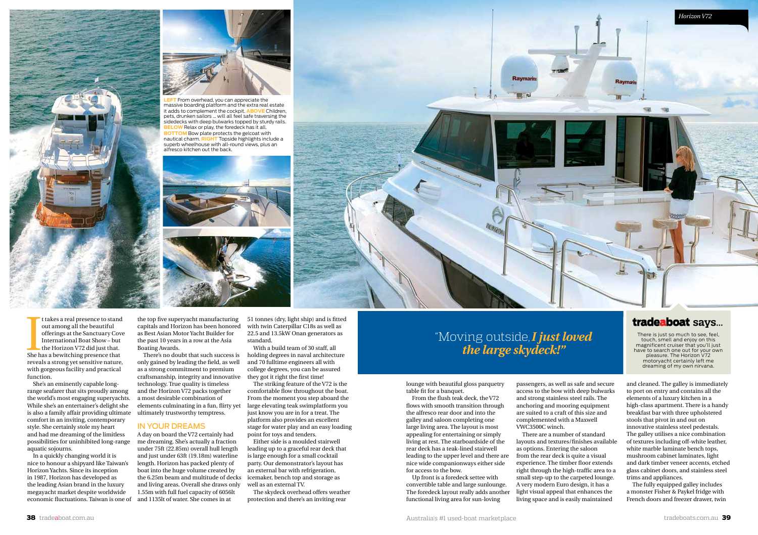

**LEFT** From overhead, you can appreciate the massive boarding platform and the extra real estate it adds to complement the cockpit. **ABOVE** Children, pets, drunken sailors ... will all feel safe traversing the sidedecks with deep bulwarks topped by sturdy rails. **LOW** Relax or play, the foredeck has it all. **BOTTOM** Bow plate protects the gelcoat with nautical charm. **right** Topside highlights include a superb wheelhouse with all-round views, plus an alfresco kitchen out the back.





It akes a real presence to stand<br>out among all the beautiful<br>offerings at the Sanctuary Cov<br>International Boat Show – but<br>the Horizon V72 did just that.<br>She has a bewitching presence that t takes a real presence to stand out among all the beautiful offerings at the Sanctuary Cove International Boat Show – but the Horizon V72 did just that. reveals a strong yet sensitive nature, with gorgeous facility and practical function.

She's an eminently capable longrange seafarer that sits proudly among the world's most engaging superyachts. While she's an entertainer's delight she is also a family affair providing ultimate comfort in an inviting, contemporary style. She certainly stole my heart and had me dreaming of the limitless possibilities for uninhibited long-range aquatic sojourns.

In a quickly changing world it is nice to honour a shipyard like Taiwan's Horizon Yachts. Since its inception in 1987, Horizon has developed as the leading Asian brand in the luxury megayacht market despite worldwide economic fluctuations. Taiwan is one of

the top five superyacht manufacturing capitals and Horizon has been honored as Best Asian Motor Yacht Builder for the past 10 years in a row at the Asia Boating Awards.

There's no doubt that such success is only gained by leading the field, as well as a strong commitment to premium craftsmanship, integrity and innovative technology. True quality is timeless and the Horizon V72 packs together a most desirable combination of elements culminating in a fun, flirty yet ultimately trustworthy temptress.

#### IN YOUR DREAMS

A day on board the V72 certainly had me dreaming. She's actually a fraction under 75ft (22.85m) overall hull length and just under 63ft (19.18m) waterline length. Horizon has packed plenty of boat into the huge volume created by the 6.25m beam and multitude of decks and living areas. Overall she draws only 1.55m with full fuel capacity of 6056lt and 1135lt of water. She comes in at

51 tonnes (dry, light ship) and is fitted with twin Caterpillar C18s as well as 22.5 and 13.5kW Onan generators as standard.

With a build team of 30 staff, all holding degrees in naval architecture and 70 fulltime engineers all with college degrees, you can be assured they got it right the first time!

The striking feature of the V72 is the comfortable flow throughout the boat. From the moment you step aboard the large elevating teak swimplatform you just know you are in for a treat. The platform also provides an excellent stage for water play and an easy loading point for toys and tenders.

Either side is a moulded stairwell leading up to a graceful rear deck that is large enough for a small cocktail party. Our demonstrator's layout has an external bar with refrigeration, icemaker, bench top and storage as well as an external TV.

The skydeck overhead offers weather protection and there's an inviting rear



# "Moving outside,*I just loved the large skydeck!"*

lounge with beautiful gloss parquetry table fit for a banquet.

From the flush teak deck, the V72 flows with smooth transition through the alfresco rear door and into the galley and saloon completing one large living area. The layout is most appealing for entertaining or simply living at rest. The starboardside of the rear deck has a teak-lined stairwell leading to the upper level and there are nice wide companionways either side for access to the bow.

Up front is a foredeck settee with convertible table and large sunlounge. The foredeck layout really adds another functional living area for sun-loving

passengers, as well as safe and secure access to the bow with deep bulwarks and strong stainless steel rails. The anchoring and mooring equipment are suited to a craft of this size and complemented with a Maxwell VWC3500C winch.

There are a number of standard layouts and textures/finishes available as options. Entering the saloon from the rear deck is quite a visual experience. The timber floor extends right through the high-traffic area to a small step-up to the carpeted lounge. A very modern Euro design, it has a light visual appeal that enhances the living space and is easily maintained

### tradeaboat says...

There is just so much to see, feel, touch, smell and enjoy on this magnificent cruiser that you'll just have to search one out for your own pleasure. The Horizon V72 motoryacht certainly left me dreaming of my own nirvana.

and cleaned. The galley is immediately to port on entry and contains all the elements of a luxury kitchen in a high-class apartment. There is a handy breakfast bar with three upholstered stools that pivot in and out on innovative stainless steel pedestals. The galley utilises a nice combination of textures including off-white leather, white marble laminate bench tops, mushroom cabinet laminates, light and dark timber veneer accents, etched glass cabinet doors, and stainless steel trims and appliances.

The fully equipped galley includes a monster Fisher & Paykel fridge with French doors and freezer drawer, twin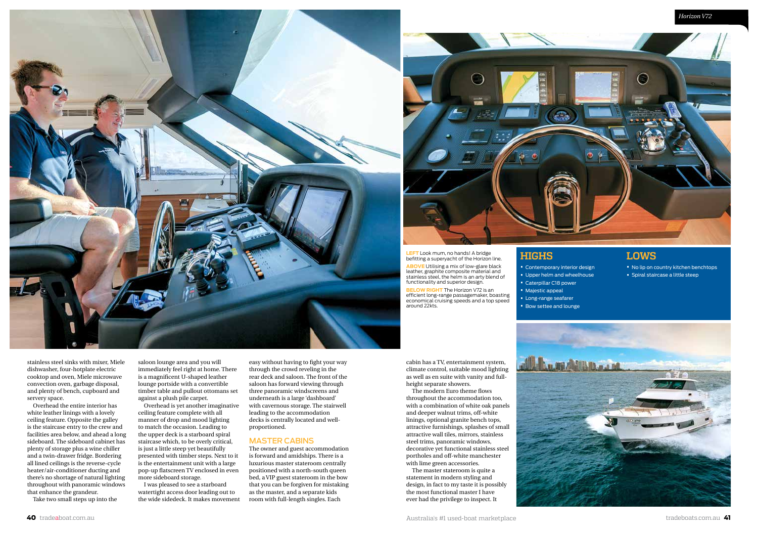



**HIGHS**

• Contemporary interior design • Upper helm and wheelhouse • Caterpillar C18 power • Majestic appeal • Long-range seafarer • Bow settee and lounge

**left** Look mum, no hands! A bridge befitting a superyacht of the Horizon line.

**above** Utilising a mix of low-glare black leather, graphite composite material and stainless steel, the helm is an arty blend of stall hess steel, the nearing an and

**BELOW RIGHT** The Horizon V72 is an efficient long-range passagemaker, boasting economical cruising speeds and a top speed around 22kts.

#### **LOWS**

• No lip on country kitchen benchtops • Spiral staircase a little steep

*Horizon V72 B65 Expedition series*

stainless steel sinks with mixer, Miele dishwasher, four-hotplate electric cooktop and oven, Miele microwave convection oven, garbage disposal, and plenty of bench, cupboard and servery space.

Overhead the entire interior has white leather linings with a lovely ceiling feature. Opposite the galley is the staircase entry to the crew and facilities area below, and ahead a long sideboard. The sideboard cabinet has plenty of storage plus a wine chiller and a twin-drawer fridge. Bordering all lined ceilings is the reverse-cycle heater/air-conditioner ducting and there's no shortage of natural lighting throughout with panoramic windows that enhance the grandeur.

Take two small steps up into the

saloon lounge area and you will immediately feel right at home. There is a magnificent U-shaped leather lounge portside with a convertible timber table and pullout ottomans set against a plush pile carpet.

Overhead is yet another imaginative ceiling feature complete with all manner of drop and mood lighting to match the occasion. Leading to the upper deck is a starboard spiral staircase which, to be overly critical, is just a little steep yet beautifully presented with timber steps. Next to it is the entertainment unit with a large pop-up flatscreen TV enclosed in even more sideboard storage.

I was pleased to see a starboard watertight access door leading out to the wide sidedeck. It makes movement

easy without having to fight your way through the crowd reveling in the rear deck and saloon. The front of the saloon has forward viewing through three panoramic windscreens and underneath is a large 'dashboard' with cavernous storage. The stairwell leading to the accommodation decks is centrally located and wellproportioned.

#### MASTER CABINS

The owner and guest accommodation is forward and amidships. There is a luxurious master stateroom centrally positioned with a north-south queen bed, a VIP guest stateroom in the bow that you can be forgiven for mistaking as the master, and a separate kids room with full-length singles. Each

cabin has a TV, entertainment system, climate control, suitable mood lighting as well as en suite with vanity and fullheight separate showers.

The modern Euro theme flows throughout the accommodation too, with a combination of white oak panels and deeper walnut trims, off-white linings, optional granite bench tops, attractive furnishings, splashes of small attractive wall tiles, mirrors, stainless steel trims, panoramic windows, decorative yet functional stainless steel portholes and off-white manchester with lime green accessories.

The master stateroom is quite a statement in modern styling and design, in fact to my taste it is possibly the most functional master I have ever had the privilege to inspect. It

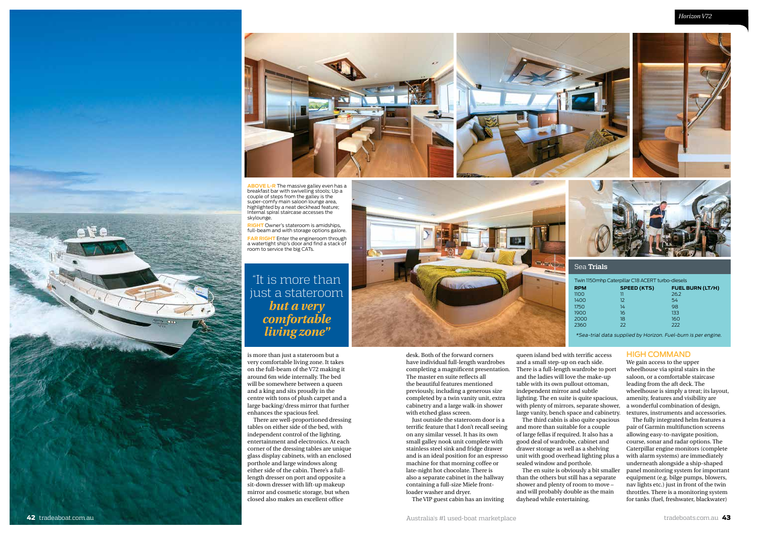

**ABOVE L-R** The massive galley even has a breakfast bar with swivelling stools; Up a couple of steps from the galley is the super-comfy main saloon lounge area, highlighted by a neat deckhead feature; Internal spiral staircase accesses the skylounge.

**right** Owner's stateroom is amidships, full-beam and with storage options galore. **FAR RIGHT** Enter the engineroom through a watertight ship's door and find a stack of room to service the big CATs.

## "It is more than just a stateroom *but a very comfortable living zone"*

is more than just a stateroom but a very comfortable living zone. It takes on the full-beam of the V72 making it around 6m wide internally. The bed will be somewhere between a queen and a king and sits proudly in the centre with tons of plush carpet and a large backing/dress mirror that further enhances the spacious feel.

There are well-proportioned dressing tables on either side of the bed, with independent control of the lighting, entertainment and electronics. At each corner of the dressing tables are unique glass display cabinets, with an enclosed porthole and large windows along either side of the cabin. There's a fulllength dresser on port and opposite a sit-down dresser with lift-up makeup mirror and cosmetic storage, but when closed also makes an excellent office



desk. Both of the forward corners have individual full-length wardrobes completing a magnificent presentation. The master en suite reflects all the beautiful features mentioned previously, including a generous size completed by a twin vanity unit, extra cabinetry and a large walk-in shower with etched glass screen.

Just outside the stateroom door is a terrific feature that I don't recall seeing on any similar vessel. It has its own small galley nook unit complete with stainless steel sink and fridge drawer and is an ideal position for an espresso machine for that morning coffee or late-night hot chocolate. There is also a separate cabinet in the hallway containing a full-size Miele frontloader washer and dryer.

The VIP guest cabin has an inviting

queen island bed with terrific access and a small step-up on each side. There is a full-length wardrobe to port and the ladies will love the make-up table with its own pullout ottoman, independent mirror and subtle lighting. The en suite is quite spacious, with plenty of mirrors, separate shower, large vanity, bench space and cabinetry.

Sea **Trials**

The third cabin is also quite spacious and more than suitable for a couple of large fellas if required. It also has a good deal of wardrobe, cabinet and drawer storage as well as a shelving unit with good overhead lighting plus a sealed window and porthole.

The en suite is obviously a bit smaller than the others but still has a separate shower and plenty of room to move – and will probably double as the main dayhead while entertaining.

#### HIGH COMMAND

We gain access to the upper wheelhouse via spiral stairs in the saloon, or a comfortable staircase leading from the aft deck. The wheelhouse is simply a treat; its layout, amenity, features and visibility are a wonderful combination of design, textures, instruments and accessories.

The fully integrated helm features a pair of Garmin multifunction screens allowing easy-to-navigate position, course, sonar and radar options. The Caterpillar engine monitors (complete with alarm systems) are immediately underneath alongside a ship-shaped panel monitoring system for important equipment (e.g. bilge pumps, blowers, nav lights etc.) just in front of the twin throttles. There is a monitoring system for tanks (fuel, freshwater, blackwater)

Twin 1150mhp Caterpillar C18 ACERT turbo-diesels **RPM SPEED (KTS) FUEL BURN (LT/H)** 1100 11 26.2 1400 12 54 1750 14 98 1900 16 133 2000 18 160<br>2360 22 222 2360 22 222 \*Sea-trial data supplied by Horizon. Fuel-burn is per engine.